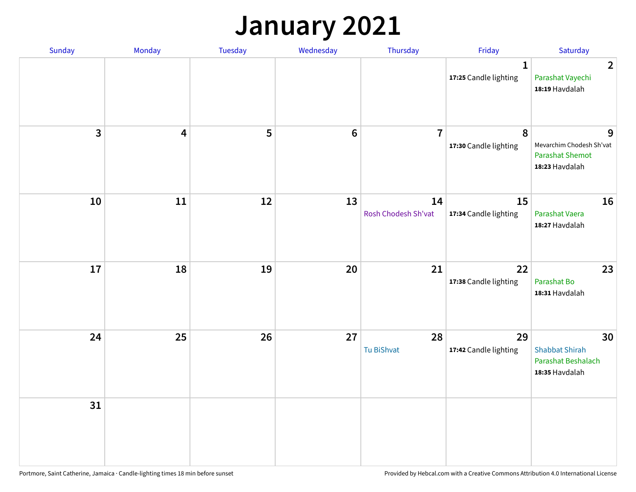### **January 2021**

| Sunday                  | Monday                  | <b>Tuesday</b> | Wednesday | Thursday                  | Friday                                | Saturday                                                                  |
|-------------------------|-------------------------|----------------|-----------|---------------------------|---------------------------------------|---------------------------------------------------------------------------|
|                         |                         |                |           |                           | $\mathbf{1}$<br>17:25 Candle lighting | $\overline{2}$<br>Parashat Vayechi<br>18:19 Havdalah                      |
| $\overline{\mathbf{3}}$ | $\overline{\mathbf{4}}$ | 5              | $\bf 6$   | $\overline{7}$            | 8<br>17:30 Candle lighting            | 9<br>Mevarchim Chodesh Sh'vat<br><b>Parashat Shemot</b><br>18:23 Havdalah |
| 10                      | 11                      | 12             | 13        | 14<br>Rosh Chodesh Sh'vat | 15<br>17:34 Candle lighting           | 16<br>Parashat Vaera<br>18:27 Havdalah                                    |
| 17                      | 18                      | 19             | 20        | 21                        | 22<br>17:38 Candle lighting           | 23<br>Parashat Bo<br>18:31 Havdalah                                       |
| 24                      | 25                      | 26             | 27        | 28<br>Tu BiShvat          | 29<br>17:42 Candle lighting           | 30<br><b>Shabbat Shirah</b><br>Parashat Beshalach<br>18:35 Havdalah       |
| 31                      |                         |                |           |                           |                                       |                                                                           |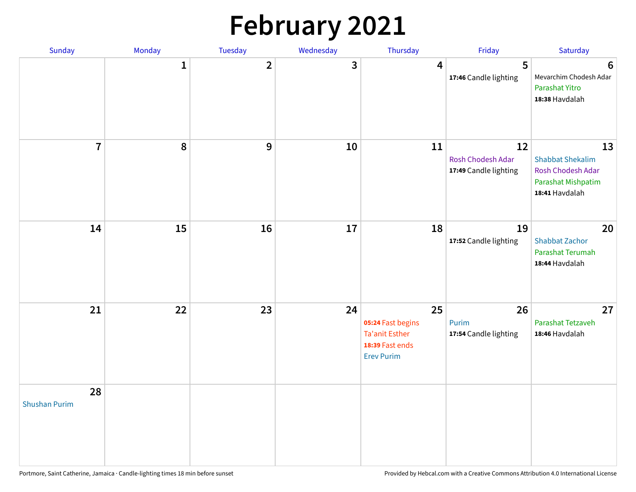# **February 2021**

| Sunday                     | Monday       | Tuesday        | Wednesday | Thursday                                                                                 | Friday                                           | Saturday                                                                                   |
|----------------------------|--------------|----------------|-----------|------------------------------------------------------------------------------------------|--------------------------------------------------|--------------------------------------------------------------------------------------------|
|                            | $\mathbf{1}$ | $\overline{2}$ | 3         | 4                                                                                        | 5<br>17:46 Candle lighting                       | $6\phantom{1}6$<br>Mevarchim Chodesh Adar<br>Parashat Yitro<br>18:38 Havdalah              |
| $\overline{7}$             | ${\bf 8}$    | $\mathbf{9}$   | 10        | 11                                                                                       | 12<br>Rosh Chodesh Adar<br>17:49 Candle lighting | 13<br><b>Shabbat Shekalim</b><br>Rosh Chodesh Adar<br>Parashat Mishpatim<br>18:41 Havdalah |
| 14                         | 15           | 16             | 17        | 18                                                                                       | 19<br>17:52 Candle lighting                      | 20<br><b>Shabbat Zachor</b><br>Parashat Terumah<br>18:44 Havdalah                          |
| 21                         | 22           | 23             | 24        | 25<br>05:24 Fast begins<br><b>Ta'anit Esther</b><br>18:39 Fast ends<br><b>Erev Purim</b> | 26<br>Purim<br>17:54 Candle lighting             | 27<br>Parashat Tetzaveh<br>18:46 Havdalah                                                  |
| 28<br><b>Shushan Purim</b> |              |                |           |                                                                                          |                                                  |                                                                                            |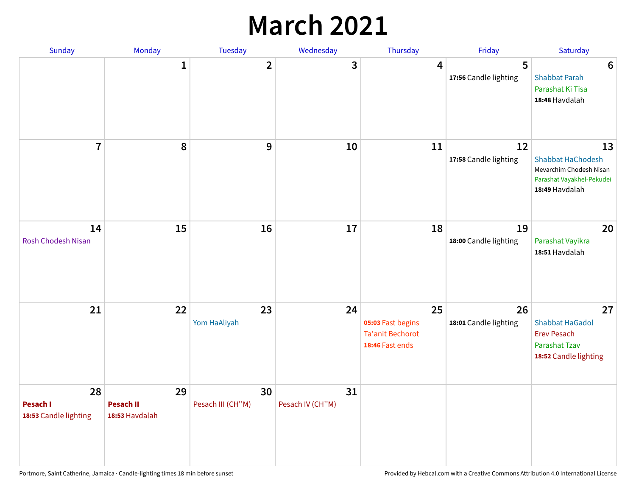### **March 2021**

| Sunday                                  | Monday                                   | Tuesday                 | Wednesday              | Thursday                                                              | Friday                      | Saturday                                                                                                 |
|-----------------------------------------|------------------------------------------|-------------------------|------------------------|-----------------------------------------------------------------------|-----------------------------|----------------------------------------------------------------------------------------------------------|
|                                         | $\mathbf 1$                              | $\overline{2}$          | 3                      | 4                                                                     | 5<br>17:56 Candle lighting  | $6\phantom{1}6$<br><b>Shabbat Parah</b><br>Parashat Ki Tisa<br>18:48 Havdalah                            |
| $\overline{7}$                          | 8                                        | 9                       | 10                     | 11                                                                    | 12<br>17:58 Candle lighting | 13<br><b>Shabbat HaChodesh</b><br>Mevarchim Chodesh Nisan<br>Parashat Vayakhel-Pekudei<br>18:49 Havdalah |
| 14<br><b>Rosh Chodesh Nisan</b>         | 15                                       | 16                      | 17                     | 18                                                                    | 19<br>18:00 Candle lighting | 20<br>Parashat Vayikra<br>18:51 Havdalah                                                                 |
| 21                                      | 22                                       | 23<br>Yom HaAliyah      | 24                     | 25<br>05:03 Fast begins<br><b>Ta'anit Bechorot</b><br>18:46 Fast ends | 26<br>18:01 Candle lighting | 27<br><b>Shabbat HaGadol</b><br><b>Erev Pesach</b><br><b>Parashat Tzav</b><br>18:52 Candle lighting      |
| 28<br>Pesach I<br>18:53 Candle lighting | 29<br><b>Pesach II</b><br>18:53 Havdalah | 30<br>Pesach III (CH"M) | 31<br>Pesach IV (CH"M) |                                                                       |                             |                                                                                                          |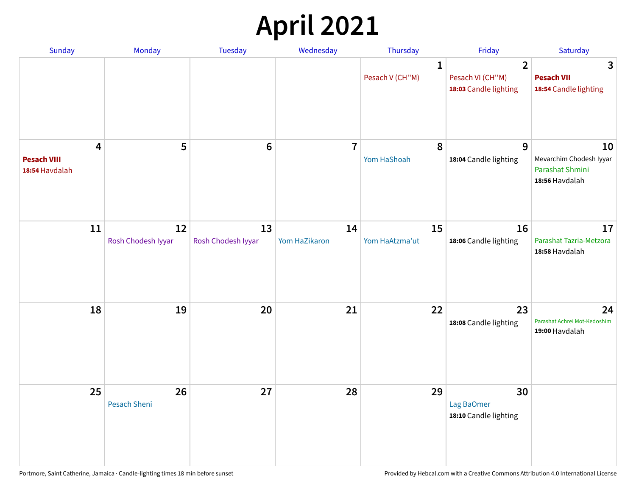# **April 2021**

| Sunday                                    | Monday                   | Tuesday                  | Wednesday           | Thursday                        | Friday                                                      | Saturday                                                           |
|-------------------------------------------|--------------------------|--------------------------|---------------------|---------------------------------|-------------------------------------------------------------|--------------------------------------------------------------------|
|                                           |                          |                          |                     | $\mathbf{1}$<br>Pesach V (CH"M) | $\overline{2}$<br>Pesach VI (CH"M)<br>18:03 Candle lighting | 3<br><b>Pesach VII</b><br>18:54 Candle lighting                    |
| 4<br><b>Pesach VIII</b><br>18:54 Havdalah | 5                        | $6\phantom{1}6$          | $\overline{7}$      | 8<br>Yom HaShoah                | 9<br>18:04 Candle lighting                                  | 10<br>Mevarchim Chodesh Iyyar<br>Parashat Shmini<br>18:56 Havdalah |
| 11                                        | 12<br>Rosh Chodesh Iyyar | 13<br>Rosh Chodesh Iyyar | 14<br>Yom HaZikaron | 15<br>Yom HaAtzma'ut            | 16<br>18:06 Candle lighting                                 | 17<br>Parashat Tazria-Metzora<br>18:58 Havdalah                    |
| 18                                        | 19                       | 20                       | 21                  | 22                              | 23<br>18:08 Candle lighting                                 | 24<br>Parashat Achrei Mot-Kedoshim<br>19:00 Havdalah               |
| 25                                        | 26<br>Pesach Sheni       | 27                       | 28                  | 29                              | 30<br>Lag BaOmer<br>18:10 Candle lighting                   |                                                                    |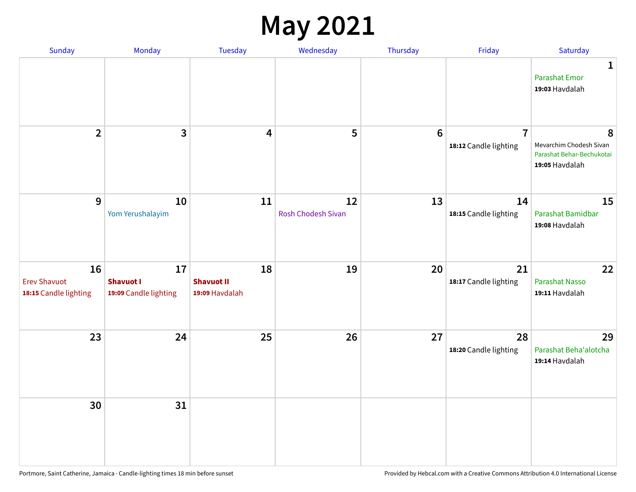#### **May 2021**

| Sunday                                             | Monday                                          | Tuesday                                   | Wednesday                | Thursday        | Friday                                  | Saturday                                                                    |
|----------------------------------------------------|-------------------------------------------------|-------------------------------------------|--------------------------|-----------------|-----------------------------------------|-----------------------------------------------------------------------------|
|                                                    |                                                 |                                           |                          |                 |                                         | 1<br><b>Parashat Emor</b><br>19:03 Havdalah                                 |
| $\overline{2}$                                     | $\mathbf{3}$                                    | $\overline{\mathbf{4}}$                   | 5                        | $6\phantom{1}6$ | $\overline{7}$<br>18:12 Candle lighting | 8<br>Mevarchim Chodesh Sivan<br>Parashat Behar-Bechukotai<br>19:05 Havdalah |
| 9                                                  | 10<br>Yom Yerushalayim                          | 11                                        | 12<br>Rosh Chodesh Sivan | 13              | 14<br>18:15 Candle lighting             | 15<br>Parashat Bamidbar<br>19:08 Havdalah                                   |
| 16<br><b>Erev Shavuot</b><br>18:15 Candle lighting | 17<br><b>Shavuot I</b><br>19:09 Candle lighting | 18<br><b>Shavuot II</b><br>19:09 Havdalah | 19                       | 20              | 21<br>18:17 Candle lighting             | 22<br><b>Parashat Nasso</b><br>19:11 Havdalah                               |
| 23                                                 | 24                                              | 25                                        | 26                       | 27              | 28<br>18:20 Candle lighting             | 29<br>Parashat Beha'alotcha<br>19:14 Havdalah                               |
| 30                                                 | 31                                              |                                           |                          |                 |                                         |                                                                             |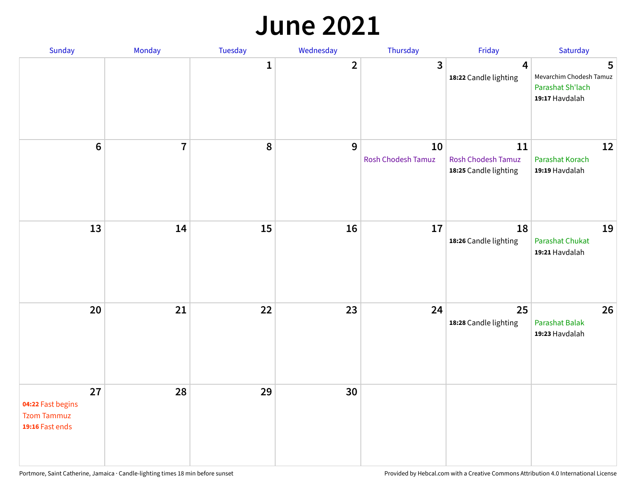#### **June 2021**

| Sunday                                                           | Monday                  | Tuesday      | Wednesday      | Thursday                 | Friday                                                   | Saturday                                                           |
|------------------------------------------------------------------|-------------------------|--------------|----------------|--------------------------|----------------------------------------------------------|--------------------------------------------------------------------|
|                                                                  |                         | $\mathbf{1}$ | $\overline{2}$ | $\mathbf{3}$             | $\overline{\mathbf{4}}$<br>18:22 Candle lighting         | 5<br>Mevarchim Chodesh Tamuz<br>Parashat Sh'lach<br>19:17 Havdalah |
| $\bf 6$                                                          | $\overline{\mathbf{7}}$ | 8            | 9              | 10<br>Rosh Chodesh Tamuz | 11<br><b>Rosh Chodesh Tamuz</b><br>18:25 Candle lighting | 12<br>Parashat Korach<br>19:19 Havdalah                            |
| 13                                                               | 14                      | 15           | 16             | 17                       | 18<br>18:26 Candle lighting                              | 19<br>Parashat Chukat<br>19:21 Havdalah                            |
| 20                                                               | 21                      | 22           | 23             | 24                       | 25<br>18:28 Candle lighting                              | 26<br><b>Parashat Balak</b><br>19:23 Havdalah                      |
| 27<br>04:22 Fast begins<br><b>Tzom Tammuz</b><br>19:16 Fast ends | 28                      | 29           | 30             |                          |                                                          |                                                                    |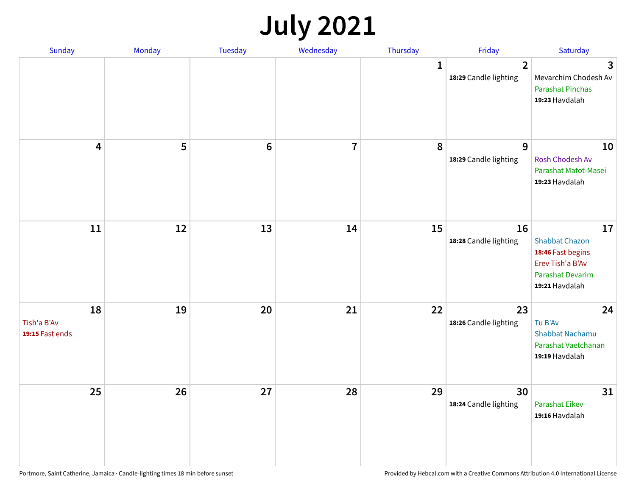## **July 2021**

| Sunday                               | Monday | Tuesday | Wednesday               | Thursday    | Friday                                  | Saturday                                                                                                          |
|--------------------------------------|--------|---------|-------------------------|-------------|-----------------------------------------|-------------------------------------------------------------------------------------------------------------------|
|                                      |        |         |                         | $\mathbf 1$ | $\overline{2}$<br>18:29 Candle lighting | 3<br>Mevarchim Chodesh Av<br><b>Parashat Pinchas</b><br>19:23 Havdalah                                            |
| 4                                    | 5      | $\bf 6$ | $\overline{\mathbf{7}}$ | 8           | 9<br>18:29 Candle lighting              | 10<br>Rosh Chodesh Av<br>Parashat Matot-Masei<br>19:23 Havdalah                                                   |
| 11                                   | 12     | 13      | 14                      | 15          | 16<br>18:28 Candle lighting             | 17<br><b>Shabbat Chazon</b><br>18:46 Fast begins<br>Erev Tish'a B'Av<br><b>Parashat Devarim</b><br>19:21 Havdalah |
| 18<br>Tish'a B'Av<br>19:15 Fast ends | 19     | 20      | 21                      | 22          | 23<br>18:26 Candle lighting             | 24<br>Tu B'Av<br>Shabbat Nachamu<br>Parashat Vaetchanan<br>19:19 Havdalah                                         |
| 25                                   | 26     | 27      | 28                      | 29          | 30<br>18:24 Candle lighting             | 31<br><b>Parashat Eikev</b><br>19:16 Havdalah                                                                     |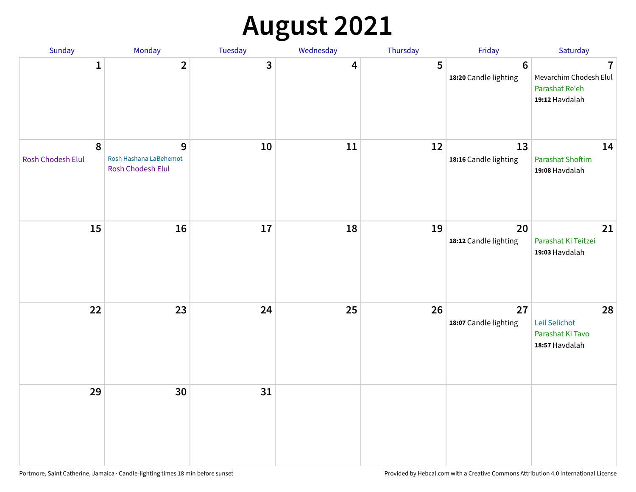# **August 2021**

| Sunday                         | Monday                                           | Tuesday | Wednesday | Thursday | Friday                           | Saturday                                                                     |
|--------------------------------|--------------------------------------------------|---------|-----------|----------|----------------------------------|------------------------------------------------------------------------------|
| $\mathbf{1}$                   | $\mathbf{2}$                                     | 3       | 4         | 5        | $\bf 6$<br>18:20 Candle lighting | $\overline{1}$<br>Mevarchim Chodesh Elul<br>Parashat Re'eh<br>19:12 Havdalah |
| $\pmb{8}$<br>Rosh Chodesh Elul | 9<br>Rosh Hashana LaBehemot<br>Rosh Chodesh Elul | $10\,$  | 11        | 12       | 13<br>18:16 Candle lighting      | 14<br><b>Parashat Shoftim</b><br>19:08 Havdalah                              |
| 15                             | 16                                               | 17      | 18        | 19       | 20<br>18:12 Candle lighting      | 21<br>Parashat Ki Teitzei<br>19:03 Havdalah                                  |
| 22                             | 23                                               | 24      | 25        | 26       | 27<br>18:07 Candle lighting      | 28<br>Leil Selichot<br>Parashat Ki Tavo<br>18:57 Havdalah                    |
| 29                             | 30                                               | 31      |           |          |                                  |                                                                              |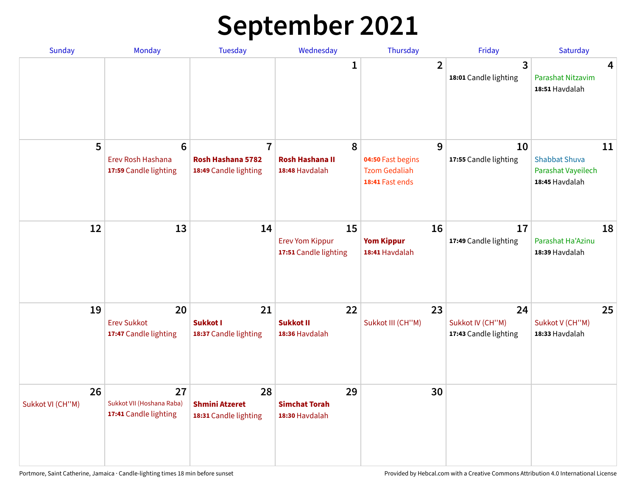## **September 2021**

| <b>Sunday</b>          | Monday                                                        | <b>Tuesday</b>                                               | Wednesday                                             | Thursday                                                          | Friday                                          | Saturday                                                           |
|------------------------|---------------------------------------------------------------|--------------------------------------------------------------|-------------------------------------------------------|-------------------------------------------------------------------|-------------------------------------------------|--------------------------------------------------------------------|
|                        |                                                               |                                                              | 1                                                     | $\overline{2}$                                                    | 3<br>18:01 Candle lighting                      | 4<br>Parashat Nitzavim<br>18:51 Havdalah                           |
| 5                      | $6\phantom{1}6$<br>Erev Rosh Hashana<br>17:59 Candle lighting | $\overline{7}$<br>Rosh Hashana 5782<br>18:49 Candle lighting | 8<br><b>Rosh Hashana II</b><br>18:48 Havdalah         | 9<br>04:50 Fast begins<br><b>Tzom Gedaliah</b><br>18:41 Fast ends | 10<br>17:55 Candle lighting                     | 11<br><b>Shabbat Shuva</b><br>Parashat Vayeilech<br>18:45 Havdalah |
| 12                     | 13                                                            | 14                                                           | 15<br><b>Erev Yom Kippur</b><br>17:51 Candle lighting | 16<br><b>Yom Kippur</b><br>18:41 Havdalah                         | 17<br>17:49 Candle lighting                     | 18<br>Parashat Ha'Azinu<br>18:39 Havdalah                          |
| 19                     | 20<br><b>Erev Sukkot</b><br>17:47 Candle lighting             | 21<br>Sukkot I<br>18:37 Candle lighting                      | 22<br><b>Sukkot II</b><br>18:36 Havdalah              | 23<br>Sukkot III (CH"M)                                           | 24<br>Sukkot IV (CH"M)<br>17:43 Candle lighting | 25<br>Sukkot V (CH"M)<br>18:33 Havdalah                            |
| 26<br>Sukkot VI (CH"M) | 27<br>Sukkot VII (Hoshana Raba)<br>17:41 Candle lighting      | 28<br><b>Shmini Atzeret</b><br>18:31 Candle lighting         | 29<br><b>Simchat Torah</b><br>18:30 Havdalah          | 30                                                                |                                                 |                                                                    |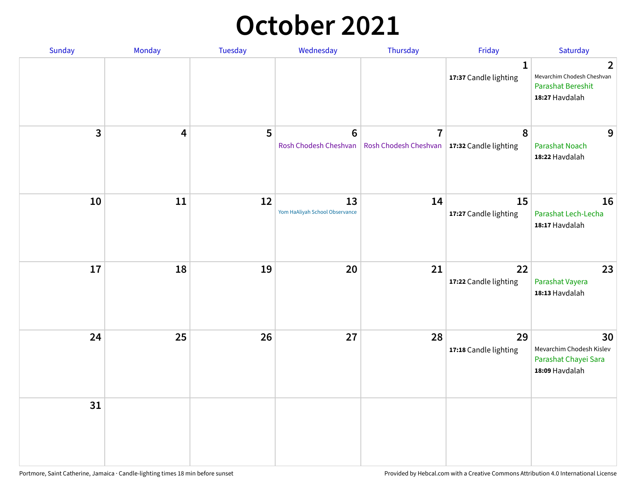#### **October 2021**

| Sunday       | Monday | Tuesday | Wednesday                               | Thursday                                                        | Friday                                | Saturday                                                                                   |
|--------------|--------|---------|-----------------------------------------|-----------------------------------------------------------------|---------------------------------------|--------------------------------------------------------------------------------------------|
|              |        |         |                                         |                                                                 | $\mathbf{1}$<br>17:37 Candle lighting | $\overline{2}$<br>Mevarchim Chodesh Cheshvan<br><b>Parashat Bereshit</b><br>18:27 Havdalah |
| $\mathbf{3}$ | 4      | 5       | $6\phantom{1}$<br>Rosh Chodesh Cheshvan | $\overline{7}$<br>Rosh Chodesh Cheshvan   17:32 Candle lighting | 8                                     | 9<br><b>Parashat Noach</b><br>18:22 Havdalah                                               |
| 10           | 11     | 12      | 13<br>Yom HaAliyah School Observance    | 14                                                              | 15<br>17:27 Candle lighting           | 16<br>Parashat Lech-Lecha<br>18:17 Havdalah                                                |
| 17           | 18     | 19      | 20                                      | 21                                                              | 22<br>17:22 Candle lighting           | 23<br>Parashat Vayera<br>18:13 Havdalah                                                    |
| 24           | 25     | 26      | 27                                      | 28                                                              | 29<br>17:18 Candle lighting           | 30<br>Mevarchim Chodesh Kislev<br>Parashat Chayei Sara<br>18:09 Havdalah                   |
| 31           |        |         |                                         |                                                                 |                                       |                                                                                            |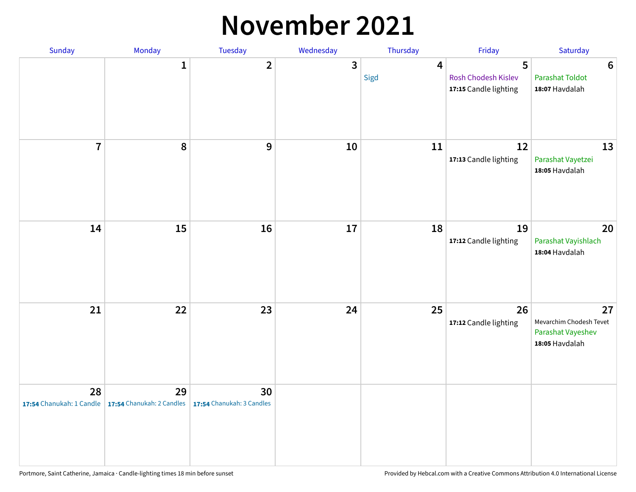#### **November 2021**

| Sunday         | Monday                                                   | Tuesday                         | Wednesday    | Thursday               | Friday                                            | Saturday                                                             |
|----------------|----------------------------------------------------------|---------------------------------|--------------|------------------------|---------------------------------------------------|----------------------------------------------------------------------|
|                | $\mathbf{1}$                                             | $\mathbf{2}$                    | $\mathbf{3}$ | $\overline{4}$<br>Sigd | 5<br>Rosh Chodesh Kislev<br>17:15 Candle lighting | $\boldsymbol{6}$<br><b>Parashat Toldot</b><br>18:07 Havdalah         |
| $\overline{7}$ | 8                                                        | 9                               | ${\bf 10}$   | 11                     | 12<br>17:13 Candle lighting                       | 13<br>Parashat Vayetzei<br>18:05 Havdalah                            |
| 14             | 15                                                       | 16                              | 17           | 18                     | 19<br>17:12 Candle lighting                       | 20<br>Parashat Vayishlach<br>18:04 Havdalah                          |
| 21             | 22                                                       | 23                              | 24           | 25                     | 26<br>17:12 Candle lighting                       | 27<br>Mevarchim Chodesh Tevet<br>Parashat Vayeshev<br>18:05 Havdalah |
| 28             | 29<br>17:54 Chanukah: 1 Candle 17:54 Chanukah: 2 Candles | 30<br>17:54 Chanukah: 3 Candles |              |                        |                                                   |                                                                      |